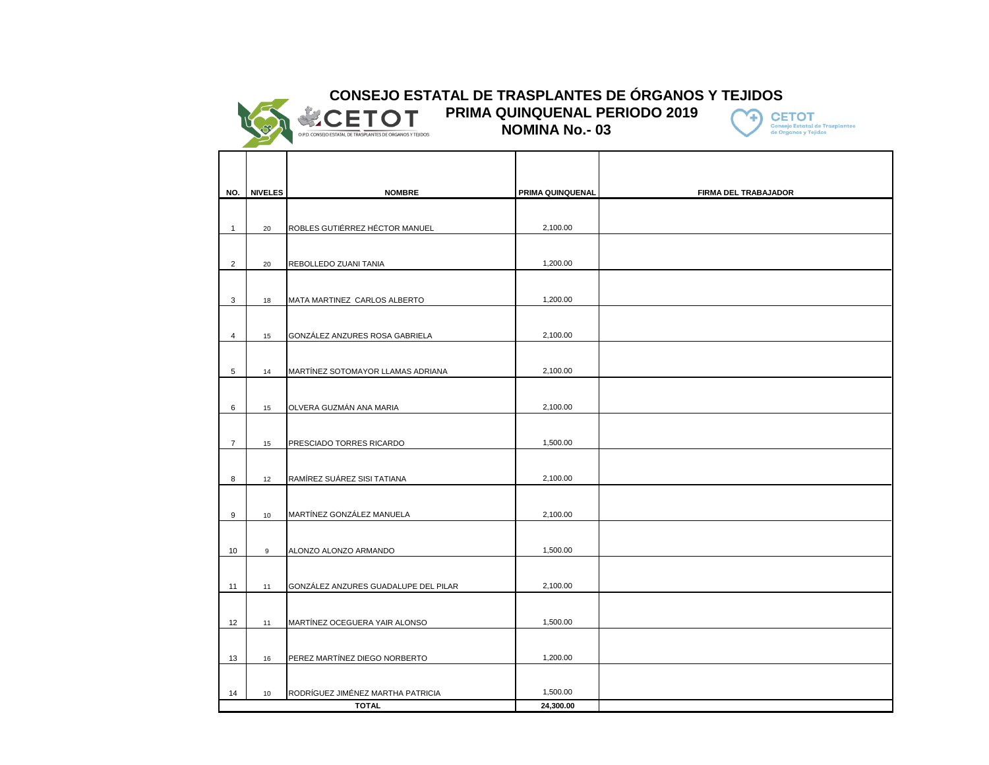## **CETOT** O P.D. CONSEIO ESTATAL DE TRASPLANTES DE ORGANOS Y TEIIDOS

## **CONSEJO ESTATAL DE TRASPLANTES DE ÓRGANOS Y TEJIDOS PRIMA QUINQUENAL PERIODO 2019**

Т

**NOMINA No.- 03**

т



┑

| NO.            | <b>NIVELES</b> | <b>NOMBRE</b>                        | PRIMA QUINQUENAL | FIRMA DEL TRABAJADOR |
|----------------|----------------|--------------------------------------|------------------|----------------------|
|                |                |                                      |                  |                      |
| $\mathbf{1}$   | 20             | ROBLES GUTIÉRREZ HÉCTOR MANUEL       | 2,100.00         |                      |
|                |                |                                      |                  |                      |
| $\overline{2}$ | 20             | REBOLLEDO ZUANI TANIA                | 1,200.00         |                      |
|                |                |                                      |                  |                      |
| 3              | 18             | MATA MARTINEZ CARLOS ALBERTO         | 1,200.00         |                      |
|                |                |                                      |                  |                      |
| 4              | 15             | GONZÁLEZ ANZURES ROSA GABRIELA       | 2,100.00         |                      |
|                |                |                                      |                  |                      |
| 5              | 14             | MARTÍNEZ SOTOMAYOR LLAMAS ADRIANA    | 2,100.00         |                      |
|                |                |                                      |                  |                      |
| 6              | 15             | OLVERA GUZMÁN ANA MARIA              | 2,100.00         |                      |
|                |                |                                      |                  |                      |
| $\overline{7}$ | 15             | PRESCIADO TORRES RICARDO             | 1,500.00         |                      |
|                |                |                                      |                  |                      |
| 8              | 12             | RAMÍREZ SUÁREZ SISI TATIANA          | 2,100.00         |                      |
|                |                |                                      |                  |                      |
| 9              | 10             | MARTÍNEZ GONZÁLEZ MANUELA            | 2,100.00         |                      |
|                |                |                                      |                  |                      |
| 10             | 9              | ALONZO ALONZO ARMANDO                | 1,500.00         |                      |
|                |                |                                      |                  |                      |
| 11             | 11             | GONZÁLEZ ANZURES GUADALUPE DEL PILAR | 2,100.00         |                      |
|                |                |                                      |                  |                      |
| 12             | 11             | MARTÍNEZ OCEGUERA YAIR ALONSO        | 1,500.00         |                      |
|                |                |                                      |                  |                      |
| 13             | 16             | PEREZ MARTÍNEZ DIEGO NORBERTO        | 1,200.00         |                      |
|                |                |                                      |                  |                      |
| 14             | 10             | RODRÍGUEZ JIMÉNEZ MARTHA PATRICIA    | 1,500.00         |                      |
|                |                | <b>TOTAL</b>                         | 24,300.00        |                      |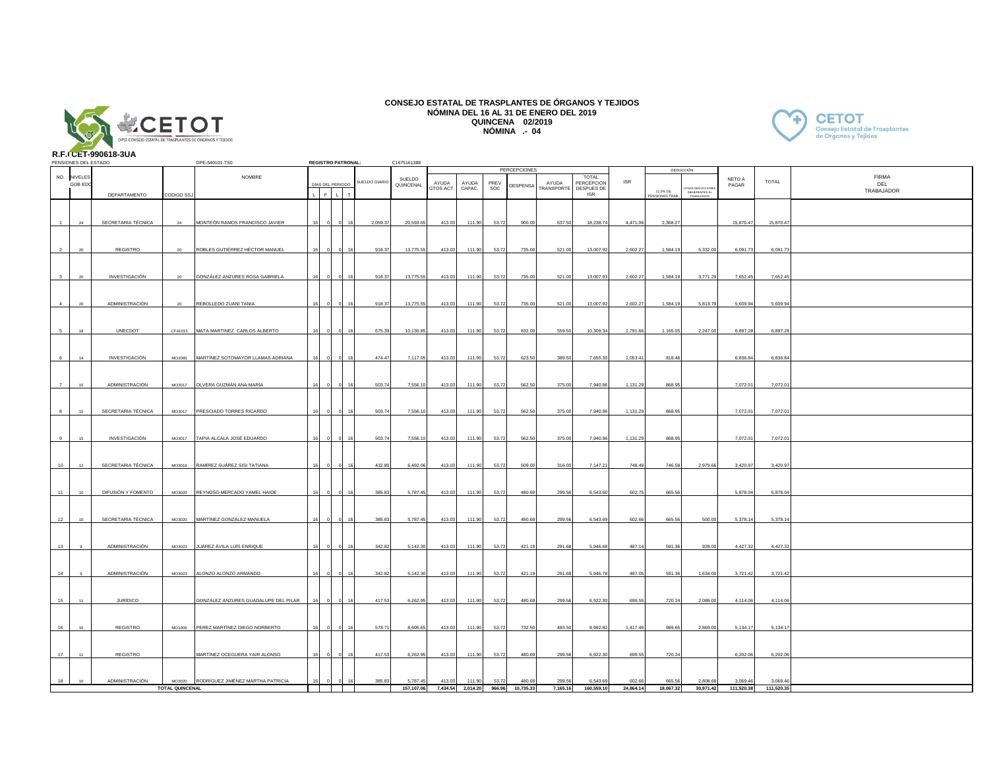

## **CONSEJO ESTATAL DE TRASPLANTES DE ÓRGANOS Y TEJIDOS NÓMINA DEL 16 AL 31 DE ENERO DEL 2019 QUINCENA 02/2019 NÓMINA .- 04**



|                | PENSIONES DEL ESTADO          | $1.1.1.0011 - 3300010 - 3070$ |                 | DPE-540101-TS0                           |                  | <b>REGISTRO PATRONAL:</b> |               | C1675161388         |           |          |        |                     |            |                          |            |                                  |                                         |                 |            |              |
|----------------|-------------------------------|-------------------------------|-----------------|------------------------------------------|------------------|---------------------------|---------------|---------------------|-----------|----------|--------|---------------------|------------|--------------------------|------------|----------------------------------|-----------------------------------------|-----------------|------------|--------------|
|                |                               |                               |                 | <b>NOMBRE</b>                            |                  |                           |               |                     |           |          |        | <b>PERCEPCIONES</b> |            | <b>TOTAL</b>             |            |                                  | DEDUCCIÓN                               |                 |            | <b>FIRMA</b> |
|                | NO. NIVELES<br><b>GOB EDO</b> |                               |                 |                                          | DÍAS DEL PERIODO |                           | SUELDO DIARIO | SUELDO<br>QUINCENAL | AYUDA     | AYUDA    | PREV   | DESPENSA            | AYUDA      | PERCEPCIÓN               | <b>ISR</b> |                                  |                                         | NETO A<br>PAGAR | TOTAL      | DEL          |
|                |                               | DEPARTAMENTO                  | CODIGO SSJ      |                                          |                  |                           |               |                     | GTOS ACT. | CAPAC.   | SOC    |                     | TRANSPORTE | DESPUES DE<br><b>ISR</b> |            | 11.5% DE<br><b>INSIONES TRAB</b> | <b>TRAS DEDUCCION</b><br>INEHERENTES AL |                 |            | TRABAJADOR   |
|                |                               |                               |                 |                                          |                  |                           |               |                     |           |          |        |                     |            |                          |            |                                  |                                         |                 |            |              |
|                |                               |                               |                 |                                          |                  |                           |               |                     |           |          |        |                     |            |                          |            |                                  |                                         |                 |            |              |
| $\overline{1}$ | 24                            | SECRETARIA TÉCNICA            | 24              | MONTEÓN RAMOS FRANCISCO JAVIER           |                  |                           | 2.059.37      | 20,593.65           | 413.03    | 111.90   | 53.72  | 900.00              | 637.50     | 18,238.74                | 4,471.06   | 2.368.27                         |                                         | 15,870.47       | 15,870.47  |              |
|                |                               |                               |                 |                                          |                  |                           |               |                     |           |          |        |                     |            |                          |            |                                  |                                         |                 |            |              |
|                |                               |                               |                 |                                          |                  |                           |               |                     |           |          |        |                     |            |                          |            |                                  |                                         |                 |            |              |
| $\overline{2}$ |                               | REGISTRO                      | 20              | ROBLES GUTIÉRREZ HÉCTOR MANUEL           |                  |                           | 918.37        | 13,775.55           | 413.03    | 111.90   | 53.72  | 735.00              | 521.00     | 13,007.92                | 2,602.27   | 1,584.19                         | 5,332.00                                | 6,091.73        | 6,091.73   |              |
|                |                               |                               |                 |                                          |                  |                           |               |                     |           |          |        |                     |            |                          |            |                                  |                                         |                 |            |              |
|                | 20                            | INVESTIGACIÓN                 | 20              | GONZÁLEZ ANZURES ROSA GABRIELA           |                  |                           | 918.37        | 13,775.55           | 413.03    | 111.90   | 53.72  | 735.00              | 521.00     | 13,007.93                | 2,602.27   | 1,584.19                         | 3,771.29                                | 7,652.45        | 7,652.45   |              |
|                |                               |                               |                 |                                          |                  |                           |               |                     |           |          |        |                     |            |                          |            |                                  |                                         |                 |            |              |
|                |                               |                               |                 |                                          |                  |                           |               |                     |           |          |        |                     |            |                          |            |                                  |                                         |                 |            |              |
| $\Lambda$      | 20 <sub>0</sub>               | ADMINISTRACIÓN                | 20              | REBOLLEDO ZUANI TANIA                    |                  |                           | 918.37        | 13,775.55           | 413.03    | 111.90   | 53.72  | 735.00              | 521.00     | 13,007.92                | 2,602.27   | 1.584.19                         | 5,813.79                                | 5,609.94        | 5,609.94   |              |
|                |                               |                               |                 |                                          |                  |                           |               |                     |           |          |        |                     |            |                          |            |                                  |                                         |                 |            |              |
|                |                               |                               |                 |                                          |                  |                           |               |                     |           |          |        |                     |            |                          |            |                                  |                                         |                 |            |              |
| 5 <sup>1</sup> | 18                            | UNECDOT                       | CF41015         | MATA MARTINEZ CARLOS ALBERTO             |                  |                           | 675.39        | 10,130.85           | 413.03    | 111.90   | 53.72  | 832.00              | 559.50     | 10,309.34                | 1,791.66   | 1,165.05                         | 2,247.00                                | 6,897.28        | 6,897.28   |              |
|                |                               |                               |                 |                                          |                  |                           |               |                     |           |          |        |                     |            |                          |            |                                  |                                         |                 |            |              |
| 6              | 14                            | INVESTIGACIÓN                 | MO2085          | MARTÍNEZ SOTOMAYOR LLAMAS ADRIANA        |                  |                           | 474.47        | 7,117.05            | 413.03    | 111.90   | 53.72  | 623.50              | 389.50     | 7,655.30                 | 1,053.41   | 818.46                           |                                         | 6,836.84        | 6,836.84   |              |
|                |                               |                               |                 |                                          |                  |                           |               |                     |           |          |        |                     |            |                          |            |                                  |                                         |                 |            |              |
|                |                               |                               |                 |                                          |                  |                           |               |                     |           |          |        |                     |            |                          |            |                                  |                                         |                 |            |              |
| $\overline{7}$ | 15                            | ADMINISTRACIÓN                | MO3017          | OLVERA GUZMÁN ANA MARÍA                  |                  |                           | 503.74        | 7,556.10            | 413.03    | 111.90   | 53.72  | 562.50              | 375.00     | 7,940.96                 | 1,131.29   | 868.95                           |                                         | 7,072.01        | 7,072.01   |              |
|                |                               |                               |                 |                                          |                  |                           |               |                     |           |          |        |                     |            |                          |            |                                  |                                         |                 |            |              |
|                |                               |                               |                 |                                          |                  |                           |               |                     |           |          |        |                     |            |                          |            |                                  |                                         |                 |            |              |
| 8              | 15                            | SECRETARIA TÉCNICA            |                 | MO3017 PRESCIADO TORRES RICARDO          |                  |                           | 503.74        | 7,556.10            | 413.03    | 111.90   | 53.72  | 562.50              | 375.00     | 7,940.96                 | 1,131.29   | 868.95                           |                                         | 7,072.01        | 7,072.01   |              |
|                |                               |                               |                 |                                          |                  |                           |               |                     |           |          |        |                     |            |                          |            |                                  |                                         |                 |            |              |
| 9              | 15                            | INVESTIGACIÓN                 | MO3017          | TAPIA ALCALA JOSÉ EDUARDO                |                  |                           | 503.74        | 7,556.10            | 413.03    | 111.90   | 53.72  | 562.50              | 375.00     | 7,940.96                 | 1,131.29   | 868.95                           |                                         | 7,072.01        | 7,072.01   |              |
|                |                               |                               |                 |                                          |                  |                           |               |                     |           |          |        |                     |            |                          |            |                                  |                                         |                 |            |              |
|                |                               |                               |                 |                                          |                  |                           |               |                     |           |          |        |                     |            |                          |            |                                  |                                         |                 |            |              |
| 10             | 12                            | SECRETARIA TÉCNICA            |                 | MO3019 RAMÍREZ SUÁREZ SISI TATIANA       |                  |                           | 432.80        | 6,492.06            | 413.03    | 111.90   | 53.72  | 509.00              | 316.00     | 7,147.21                 | 748.49     | 746.59                           | 2,979.66                                | 3,420.97        | 3,420.97   |              |
|                |                               |                               |                 |                                          |                  |                           |               |                     |           |          |        |                     |            |                          |            |                                  |                                         |                 |            |              |
|                |                               |                               |                 |                                          |                  |                           |               |                     |           |          |        |                     |            |                          |            |                                  |                                         |                 |            |              |
| 11             |                               | DIFUSIÓN Y FOMENTO            | MO3020          | REYNOSO MERCADO YAMEL HAIDE              |                  |                           | 385.8         | 5,787.45            | 413.03    | 111.90   | 53.72  | 480.69              | 299.56     | 6,543.60                 | 602.75     | 665.56                           |                                         | 5,878.04        | 5,878.0    |              |
|                |                               |                               |                 |                                          |                  |                           |               |                     |           |          |        |                     |            |                          |            |                                  |                                         |                 |            |              |
| 12             | 10                            | SECRETARIA TÉCNICA            | MO3020          | MARTÍNEZ GONZÁLEZ MANUELA                |                  |                           | 385.83        | 5,787.45            | 413.03    | 111.90   | 53.72  | 480.69              | 299.56     | 6,543.69                 | 602.66     | 665.56                           | 500.00                                  | 5,378.14        | 5,378.14   |              |
|                |                               |                               |                 |                                          |                  |                           |               |                     |           |          |        |                     |            |                          |            |                                  |                                         |                 |            |              |
|                |                               |                               |                 |                                          |                  |                           |               |                     |           |          |        |                     |            |                          |            |                                  |                                         |                 |            |              |
| 13             |                               | ADMINISTRACIÓN                | MO3023          | JUÁREZ ÁVILA LUÍS ENRIQUE                |                  |                           | 342.82        | 5,142.30            | 413.03    | 111.90   | 53.72  | 421.19              | 291.68     | 5,946.68                 | 487.14     | 591.36                           | 928.00                                  | 4,427.32        | 4,427.32   |              |
|                |                               |                               |                 |                                          |                  |                           |               |                     |           |          |        |                     |            |                          |            |                                  |                                         |                 |            |              |
|                |                               |                               |                 |                                          |                  |                           |               |                     |           |          |        |                     |            |                          |            |                                  |                                         |                 |            |              |
| 14             |                               | ADMINISTRACIÓN                |                 | MO3023 ALONZO ALONZO ARMANDO             |                  |                           | 342.82        | 5,142.30            | 413.03    | 111.90   | 53.72  | 421.19              | 291.68     | 5,946.78                 | 487.05     | 591.36                           | 1,634.00                                | 3,721.42        | 3,721.42   |              |
|                |                               |                               |                 |                                          |                  |                           |               |                     |           |          |        |                     |            |                          |            |                                  |                                         |                 |            |              |
| 15             | 11                            | JURÍDICO                      |                 | GONZÁLEZ ANZURES GUADALUPE DEL PILAR     |                  |                           | 417.53        | 6,262.95            | 413.03    | 111.90   | 53.72  | 480.69              | 299.56     | 6,922.30                 | 699.55     | 720.24                           | 2,088.00                                | 4,114.06        | 4,114.06   |              |
|                |                               |                               |                 |                                          |                  |                           |               |                     |           |          |        |                     |            |                          |            |                                  |                                         |                 |            |              |
|                |                               |                               |                 |                                          |                  |                           |               |                     |           |          |        |                     |            |                          |            |                                  |                                         |                 |            |              |
| 16             | 16                            | REGISTRO                      |                 | MO1006 PEREZ MARTÍNEZ DIEGO NORBERTO     |                  |                           | 573.71        | 8,605.65            | 413.03    | 111.90   | 53.72  | 732.50              | 493.50     | 8,992.82                 | 1,417.49   | 989.65                           | 2,869.00                                | 5,134.17        | 5,134.17   |              |
|                |                               |                               |                 |                                          |                  |                           |               |                     |           |          |        |                     |            |                          |            |                                  |                                         |                 |            |              |
|                |                               |                               |                 |                                          |                  |                           |               |                     |           |          |        |                     |            |                          |            |                                  |                                         |                 |            |              |
| 17             | 11                            | REGISTRO                      |                 | MARTÍNEZ OCEGUERA YAIR ALONSO            |                  |                           | 417.53        | 6,262.95            | 413.03    | 111.90   | 53.72  | 480.69              | 299.56     | 6,922.30                 | 699.55     | 720.24                           |                                         | 6,202.06        | 6,202.06   |              |
|                |                               |                               |                 |                                          |                  |                           |               |                     |           |          |        |                     |            |                          |            |                                  |                                         |                 |            |              |
| 18             | 10                            | ADMINISTRACIÓN                |                 | MO3020 RODRÍGUEZ JIMÉNEZ MARTHA PATRICIA |                  |                           | 385.83        | 5.787.45            | 413.03    | 111.90   |        | 480.69              | 299.5      | 6,543.69                 | 602.66     | 665.56                           | 2.808.68                                | 3,069.46        | 3,069.46   |              |
|                |                               |                               | TOTAL QUINCENAL |                                          |                  |                           |               | 157,107.06          | 7,434.54  | 2,014.20 | 966.96 | 10,735.33           | 7,165.16   | 160,559.10               | 24,864.14  | 18,067.32                        | 30,971.42                               | 111,520.38      | 111,520.35 |              |